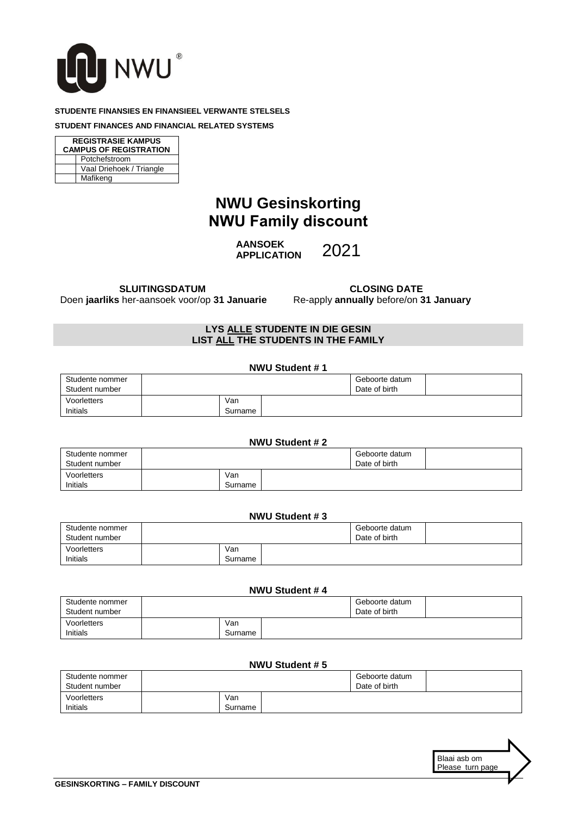

#### **STUDENTE FINANSIES EN FINANSIEEL VERWANTE STELSELS**

#### **STUDENT FINANCES AND FINANCIAL RELATED SYSTEMS**

| <b>REGISTRASIE KAMPUS</b>     |                          |  |  |  |  |
|-------------------------------|--------------------------|--|--|--|--|
| <b>CAMPUS OF REGISTRATION</b> |                          |  |  |  |  |
| Potchefstroom                 |                          |  |  |  |  |
|                               | Vaal Driehoek / Triangle |  |  |  |  |
|                               | Mafikeng                 |  |  |  |  |

# **NWU Gesinskorting NWU Family discount**

**AANSOEK APPLICATION**

2021

 **SLUITINGSDATUM** Doen **jaarliks** her-aansoek voor/op **31 Januarie**

 **CLOSING DATE** Re-apply **annually** before/on **31 January**

## **LYS ALLE STUDENTE IN DIE GESIN LIST ALL THE STUDENTS IN THE FAMILY**

| NWU Student #1                    |  |                |  |                                 |  |
|-----------------------------------|--|----------------|--|---------------------------------|--|
| Studente nommer<br>Student number |  |                |  | Geboorte datum<br>Date of birth |  |
| Voorletters<br>Initials           |  | Van<br>Surname |  |                                 |  |

#### **NWU Student # 2** Studente nommer Student number Geboorte datum Date of birth Voorletters Initials Van Surname

## **NWU Student # 3**

| Studente nommer<br>Student number |                | Geboorte datum<br>Date of birth |  |
|-----------------------------------|----------------|---------------------------------|--|
| Voorletters<br>Initials           | Van<br>Surname |                                 |  |

#### **NWU Student # 4**

| Studente nommer<br>Student number |                | Geboorte datum<br>Date of birth |  |
|-----------------------------------|----------------|---------------------------------|--|
| Voorletters<br>Initials           | Van<br>Surname |                                 |  |

#### **NWU Student # 5**

| Studente nommer<br>Student number |                | Geboorte datum<br>Date of birth |  |
|-----------------------------------|----------------|---------------------------------|--|
| Voorletters<br>Initials           | Van<br>Surname |                                 |  |